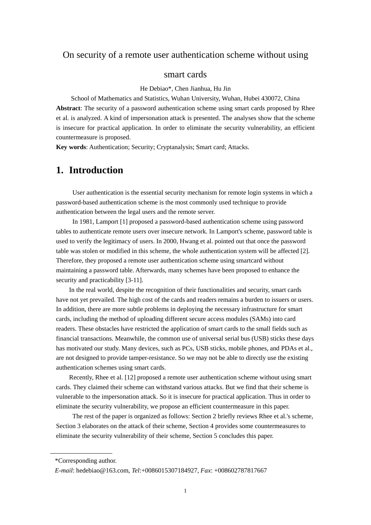### On security of a remote user authentication scheme without using

#### smart cards

He Debiao\*, Chen Jianhua, Hu Jin

School of Mathematics and Statistics, Wuhan University, Wuhan, Hubei 430072, China **Abstract**: The security of a password authentication scheme using smart cards proposed by Rhee et al. is analyzed. A kind of impersonation attack is presented. The analyses show that the scheme is insecure for practical application. In order to eliminate the security vulnerability, an efficient countermeasure is proposed.

**Key words**: Authentication; Security; Cryptanalysis; Smart card; Attacks.

## **1. Introduction**

 User authentication is the essential security mechanism for remote login systems in which a password-based authentication scheme is the most commonly used technique to provide authentication between the legal users and the remote server.

 In 1981, Lamport [1] proposed a password-based authentication scheme using password tables to authenticate remote users over insecure network. In Lamport's scheme, password table is used to verify the legitimacy of users. In 2000, Hwang et al. pointed out that once the password table was stolen or modified in this scheme, the whole authentication system will be affected [2]. Therefore, they proposed a remote user authentication scheme using smartcard without maintaining a password table. Afterwards, many schemes have been proposed to enhance the security and practicability [3-11].

In the real world, despite the recognition of their functionalities and security, smart cards have not yet prevailed. The high cost of the cards and readers remains a burden to issuers or users. In addition, there are more subtle problems in deploying the necessary infrastructure for smart cards, including the method of uploading different secure access modules (SAMs) into card readers. These obstacles have restricted the application of smart cards to the small fields such as financial transactions. Meanwhile, the common use of universal serial bus (USB) sticks these days has motivated our study. Many devices, such as PCs, USB sticks, mobile phones, and PDAs et al., are not designed to provide tamper-resistance. So we may not be able to directly use the existing authentication schemes using smart cards.

Recently, Rhee et al. [12] proposed a remote user authentication scheme without using smart cards. They claimed their scheme can withstand various attacks. But we find that their scheme is vulnerable to the impersonation attack. So it is insecure for practical application. Thus in order to eliminate the security vulnerability, we propose an efficient countermeasure in this paper.

 The rest of the paper is organized as follows: Section 2 briefly reviews Rhee et al.'s scheme, Section 3 elaborates on the attack of their scheme, Section 4 provides some countermeasures to eliminate the security vulnerability of their scheme, Section 5 concludes this paper.

<sup>\*</sup>Corresponding author.

*E-mail*: hedebiao@163.com, *Tel*:+0086015307184927, *Fax*: +008602787817667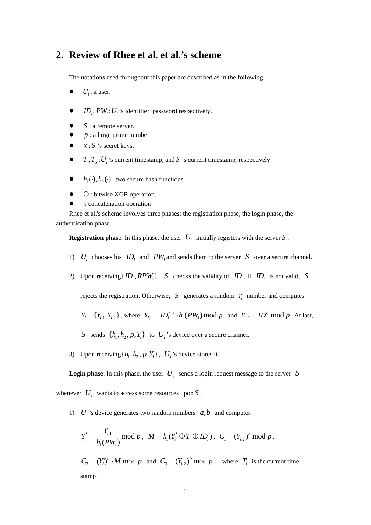# **2. Review of Rhee et al. et al.'s scheme**

The notations used throughout this paper are described as in the following.

- $\bullet$  *U<sub>i</sub>*: a user.
- $ID_i, PW_i: U_i$ 's identifier, password respectively.
- S : a remote server.
- $p:$  a large prime number.
- $\bullet$   $x : S$  's secret keys.
- $\bullet$   $T_i, T_s: U_i$ 's current timestamp, and *S* 's current timestamp, respectively.
- $\bullet$  *h*<sub>1</sub>(·), *h*<sub>2</sub>(·): two secure hash functions.
- $\bullet$   $\oplus$  : bitwise XOR operation.
- $\bullet$   $||:$  concatenation operation

Rhee et al.'s scheme involves three phases: the registration phase, the login phase, the authentication phase.

**Registration phase.** In this phase, the user  $U_i$  initially registers with the server *S*.

- 1)  $U_i$  chooses his  $ID_i$  and  $PW_i$  and sends them to the server *S* over a secure channel.
- 2) Upon receiving  $\{ID_i, RPW_i\}$ , *S* checks the validity of  $ID_i$ . If  $ID_i$  is not valid, *S*

rejects the registration. Otherwise,  $S$  generates a random  $r_i$  number and computes

$$
Y_i = \{Y_{i,1}, Y_{i,2}\}\
$$
, where  $Y_{i,1} = ID_i^{r_i x} \cdot h_1(PW_i) \mod p$  and  $Y_{i,2} = ID_i^{r_i} \mod p$ . At last,

- *S* sends  $\{h_1, h_2, p, Y_i\}$  to  $U_i$ 's device over a secure channel.
- 3) Upon receiving  $\{h_1, h_2, p, Y_i\}$ ,  $U_i$ 's device stores it.

**Login phase.** In this phase, the user  $U_i$  sends a login request message to the server *S* 

whenever  $U_i$  wants to access some resources upon  $S$ .

1)  $U_i$  's device generates two random numbers  $a, b$  and computes

$$
Y'_{i} = \frac{Y_{i,1}}{h_{i}(PW_{i})} \mod p, \ \ M = h_{1}(Y'_{i} \oplus T_{i} \oplus ID_{i}), \ \ C_{1} = (Y_{i,2})^{a} \mod p,
$$

 $C_2 = (Y_i)^a \cdot M \mod p$  and  $C_3 = (Y_i)^b \mod p$ , where  $T_i$  is the current time stamp.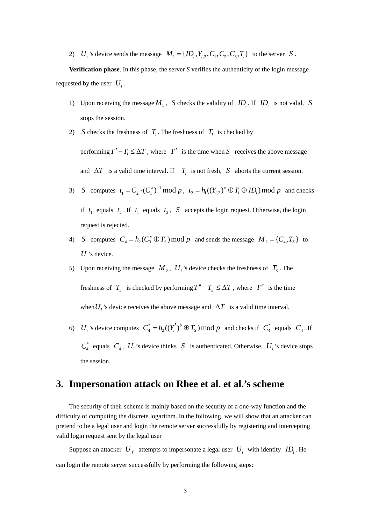2) *U<sub>i</sub>*'s device sends the message  $M_1 = \{ID_i, Y_{i,2}, C_1, C_2, C_3, T_i\}$  to the server *S*.

**Verification phase**. In this phase, the server *S* verifies the authenticity of the login message requested by the user  $U_i$ .

- 1) Upon receiving the message  $M_1$ , *S* checks the validity of  $ID_i$ . If  $ID_i$  is not valid, *S* stops the session.
- 2) *S* checks the freshness of  $T_i$ . The freshness of  $T_i$  is checked by performing  $T' - T_i \leq \Delta T$ , where  $T'$  is the time when *S* receives the above message and  $\Delta T$  is a valid time interval. If  $T_i$  is not fresh, *S* aborts the current session.
- 3) *S* computes  $t_1 = C_2 \cdot (C_1^x)^{-1} \bmod p$ ,  $t_2 = h_1((Y_{i,2})^x \oplus T_i \oplus ID_i) \bmod p$  and checks if  $t_1$  equals  $t_2$ . If  $t_1$  equals  $t_2$ , *S* accepts the login request. Otherwise, the login request is rejected.
- 4) *S* computes  $C_4 = h_2(C_3^x \oplus T_s) \mod p$  and sends the message  $M_2 = \{C_4, T_s\}$  to *U* 's device.
- 5) Upon receiving the message  $M_2$ ,  $U_i$ 's device checks the freshness of  $T_s$ . The freshness of  $T_s$  is checked by performing  $T'' - T_s \leq \Delta T$ , where  $T''$  is the time when  $U_i$ 's device receives the above message and  $\Delta T$  is a valid time interval.
- 6) *U<sub>i</sub>* 's device computes  $C_4^* = h_2((Y_i')^b \oplus T_s) \text{ mod } p$  and checks if  $C_4^*$  equals  $C_4$ . If  $C_4^*$  equals  $C_4$ ,  $U_i$ 's device thinks *S* is authenticated. Otherwise,  $U_i$ 's device stops the session.

### **3. Impersonation attack on Rhee et al. et al.'s scheme**

The security of their scheme is mainly based on the security of a one-way function and the difficulty of computing the discrete logarithm. In the following, we will show that an attacker can pretend to be a legal user and login the remote server successfully by registering and intercepting valid login request sent by the legal user

Suppose an attacker  $U_f$  attempts to impersonate a legal user  $U_i$  with identity  $ID_i$ . He can login the remote server successfully by performing the following steps: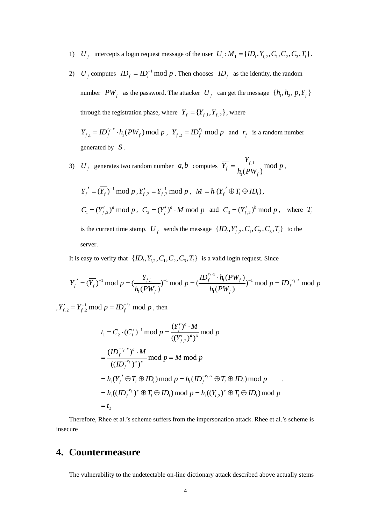- 1)  $U_f$  intercepts a login request message of the user  $U_i$ :  $M_1 = \{ID_i, Y_{i,2}, C_1, C_2, C_3, T_i\}$ .
- 2) *U<sub>f</sub>* computes  $ID_f = ID_i^{-1} \text{ mod } p$ . Then chooses  $ID_f$  as the identity, the random number  $PW_f$  as the password. The attacker  $U_f$  can get the message  $\{h_1, h_2, p, Y_f\}$ through the registration phase, where  $Y_f = \{Y_{f,1}, Y_{f,2}\}\,$  where

 $Y_{f,1} = ID_f^{r_f \cdot x} \cdot h_1(PW_f) \text{ mod } p$ ,  $Y_{f,2} = ID_f^{r_f} \text{ mod } p$  and  $r_f$  is a random number generated by *S* .

3)  $U_f$  generates two random number  $a,b$  computes  $\overline{Y_f} = \frac{T_{f,1}}{1.6 \text{ N}}$  $\mathbf{r}$ mod  $(PW_{f})$ *f f f Y*  $Y_f = \frac{F_{f,1}}{h_1(PW_f)} \text{mod } p,$ 

$$
Y'_f = (\overline{Y}_f)^{-1} \mod p, Y'_{f,2} = Y_{f,2}^{-1} \mod p, M = h_1(Y'_f \oplus T_i \oplus ID_i),
$$
  
\n
$$
C_1 = (Y'_{f,2})^a \mod p, C_2 = (Y'_f)^a \cdot M \mod p \text{ and } C_3 = (Y'_{f,2})^b \mod p, \text{ where } T_i
$$
  
\nis the current time stamp.  $U_f$  sends the message  $\{ID_i, Y'_{f,2}, C_1, C_2, C_3, T_i\}$  to the  
\nserver.

It is easy to verify that  $\{ID_i, Y_{i,2}, C_1, C_2, C_3, T_i\}$  is a valid login request. Since

$$
Y'_f = (\overline{Y}_f)^{-1} \bmod p = (\frac{Y_{f,1}}{h_1(PW_f)})^{-1} \bmod p = (\frac{ID_f^{r_f \cdot x} \cdot h_1(PW_f)}{h_1(PW_f)})^{-1} \bmod p = ID_f^{-r_f \cdot x} \bmod p
$$

,  $Y'_{f,2} = Y_{f,2}^{-1} \mod p = ID_f^{-r_f} \mod p$ , then

$$
t_1 = C_2 \cdot (C_1^x)^{-1} \bmod p = \frac{(Y'_f)^a \cdot M}{((Y'_{f,2})^a)^x} \bmod p
$$
  
= 
$$
\frac{(ID_f^{-r_f \cdot x})^a \cdot M}{((ID_f^{-r_f})^a)^x} \bmod p = M \bmod p
$$
  
=  $h_1(Y'_f \oplus T_i \oplus ID_i) \bmod p = h_1(ID_f^{-r_f \cdot x} \oplus T_i \oplus ID_i) \bmod p$   
=  $h_1((ID_f^{-r_f})^x \oplus T_i \oplus ID_i) \bmod p = h_1((Y_{i,2})^x \oplus T_i \oplus ID_i) \bmod p$   
=  $t_2$ 

.

Therefore, Rhee et al.'s scheme suffers from the impersonation attack. Rhee et al.'s scheme is insecure

# **4. Countermeasure**

The vulnerability to the undetectable on-line dictionary attack described above actually stems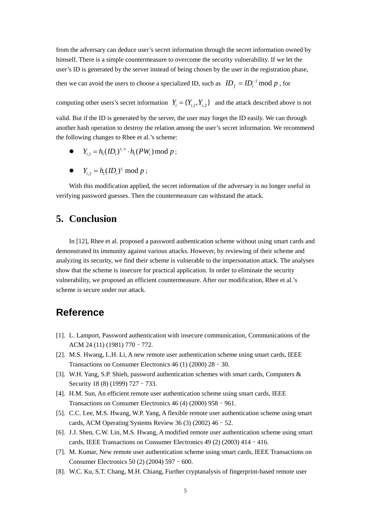from the adversary can deduce user's secret information through the secret information owned by himself. There is a simple countermeasure to overcome the security vulnerability. If we let the user's ID is generated by the server instead of being chosen by the user in the registration phase,

then we can avoid the users to choose a specialized ID, such as  $ID<sub>f</sub> = ID<sub>i</sub><sup>-1</sup> \text{ mod } p$ , for

computing other users's secret information  $Y_i = \{Y_{i,1}, Y_{i,2}\}\$  and the attack described above is not

valid. But if the ID is generated by the server, the user may forget the ID easily. We can through another hash operation to destroy the relation among the user's secret information. We recommend the following changes to Rhee et al.'s scheme:

- $Y_{i,1} = h_1 (ID_i)^{r_i \cdot x} \cdot h_1 (PW_i) \bmod p;$
- $Y_{i2} = h_1 (ID_i)^{r_i} \text{ mod } p;$

With this modification applied, the secret information of the adversary is no longer useful in verifying password guesses. Then the countermeasure can withstand the attack.

# **5. Conclusion**

In [12], Rhee et al. proposed a password authentication scheme without using smart cards and demonstrated its immunity against various attacks. However, by reviewing of their scheme and analyzing its security, we find their scheme is vulnerable to the impersonation attack. The analyses show that the scheme is insecure for practical application. In order to eliminate the security vulnerability, we proposed an efficient countermeasure. After our modification, Rhee et al.'s scheme is secure under our attack.

### **Reference**

- [1]. L. Lamport, Password authentication with insecure communication, Communications of the ACM 24 (11) (1981) 770–772.
- [2]. M.S. Hwang, L.H. Li, A new remote user authentication scheme using smart cards, IEEE Transactions on Consumer Electronics 46 (1) (2000) 28–30.
- [3]. W.H. Yang, S.P. Shieh, password authentication schemes with smart cards, Computers & Security 18 (8) (1999) 727 - 733.
- [4]. H.M. Sun, An efficient remote user authentication scheme using smart cards, IEEE Transactions on Consumer Electronics 46 (4) (2000) 958–961.
- [5]. C.C. Lee, M.S. Hwang, W.P. Yang, A flexible remote user authentication scheme using smart cards, ACM Operating Systems Review 36  $(3)$  (2002) 46 - 52.
- [6]. J.J. Shen, C.W. Lin, M.S. Hwang, A modified remote user authentication scheme using smart cards, IEEE Transactions on Consumer Electronics 49 (2) (2003) 414–416.
- [7]. M. Kumar, New remote user authentication scheme using smart cards, IEEE Transactions on Consumer Electronics 50 (2) (2004) 597–600.
- [8]. W.C. Ku, S.T. Chang, M.H. Chiang, Further cryptanalysis of fingerprint-based remote user